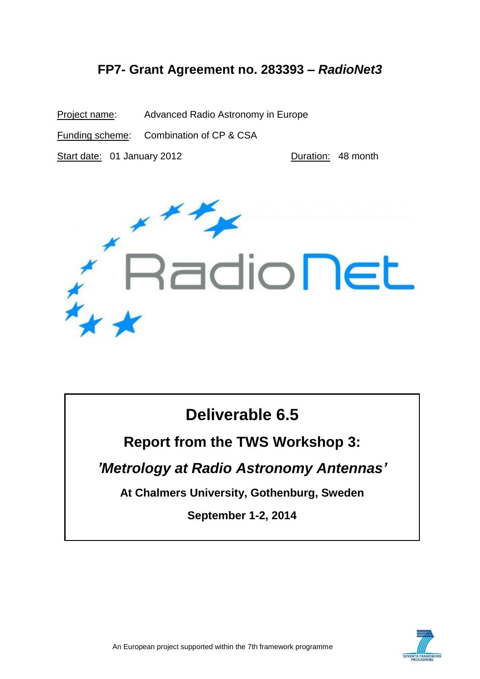### **FP7- Grant Agreement no. 283393 –** *RadioNet3*

Project name: Advanced Radio Astronomy in Europe Funding scheme: Combination of CP & CSA Start date: 01 January 2012 Quantity Duration: 48 month



# **Deliverable 6.5**

## **Report from the TWS Workshop 3:**

## *'Metrology at Radio Astronomy Antennas'*

**At Chalmers University, Gothenburg, Sweden**

**September 1-2, 2014**

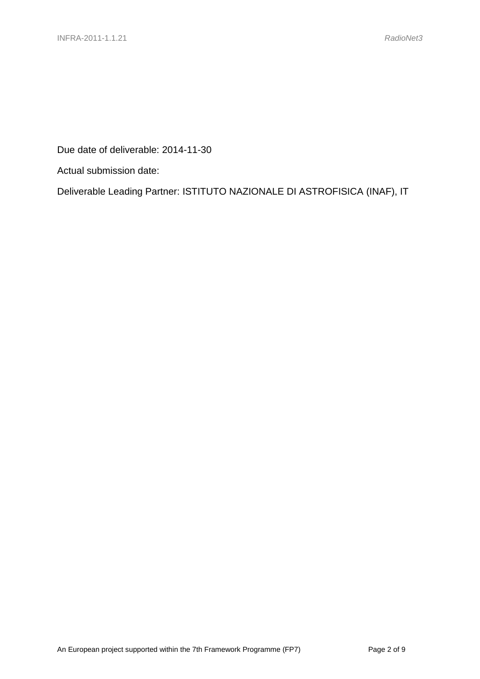Due date of deliverable: 2014-11-30

Actual submission date:

Deliverable Leading Partner: ISTITUTO NAZIONALE DI ASTROFISICA (INAF), IT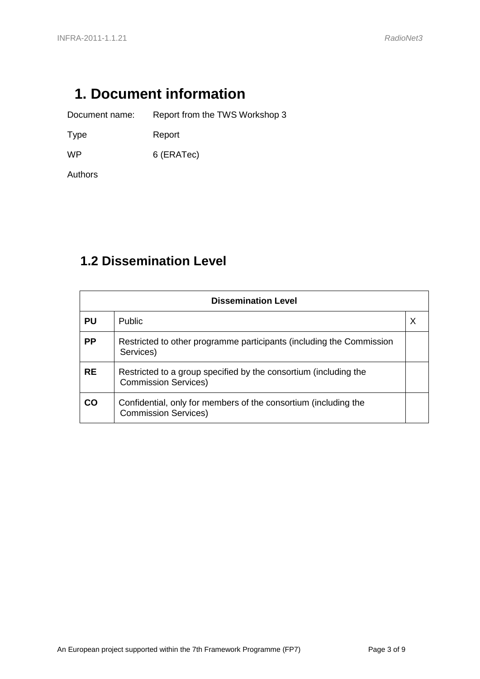# <span id="page-2-0"></span>**1. Document information**

Document name: Report from the TWS Workshop 3

Type Report

WP 6 (ERATec)

Authors

## <span id="page-2-1"></span>**1.2 Dissemination Level**

| <b>Dissemination Level</b> |                                                                                                 |  |  |  |  |  |  |
|----------------------------|-------------------------------------------------------------------------------------------------|--|--|--|--|--|--|
| <b>PU</b>                  | Public                                                                                          |  |  |  |  |  |  |
| <b>PP</b>                  | Restricted to other programme participants (including the Commission<br>Services)               |  |  |  |  |  |  |
| <b>RE</b>                  | Restricted to a group specified by the consortium (including the<br><b>Commission Services)</b> |  |  |  |  |  |  |
| CO                         | Confidential, only for members of the consortium (including the<br><b>Commission Services)</b>  |  |  |  |  |  |  |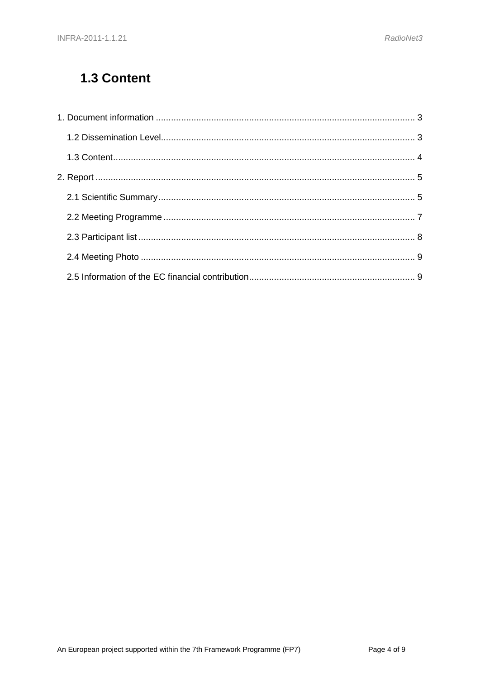# <span id="page-3-0"></span>1.3 Content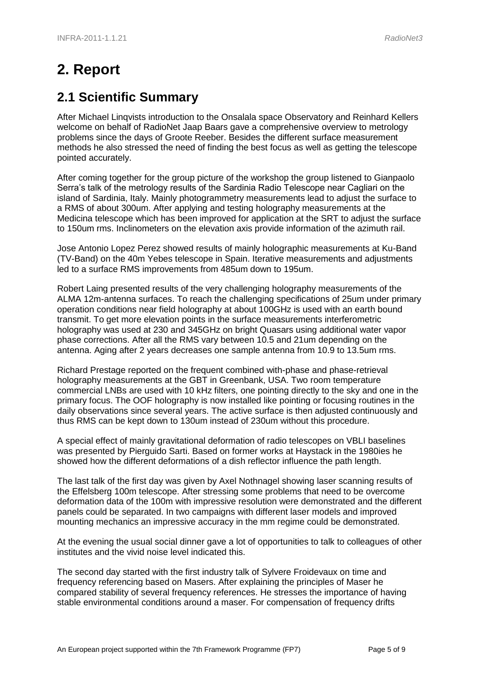# <span id="page-4-0"></span>**2. Report**

### <span id="page-4-1"></span>**2.1 Scientific Summary**

After Michael Linqvists introduction to the Onsalala space Observatory and Reinhard Kellers welcome on behalf of RadioNet Jaap Baars gave a comprehensive overview to metrology problems since the days of Groote Reeber. Besides the different surface measurement methods he also stressed the need of finding the best focus as well as getting the telescope pointed accurately.

After coming together for the group picture of the workshop the group listened to Gianpaolo Serra's talk of the metrology results of the Sardinia Radio Telescope near Cagliari on the island of Sardinia, Italy. Mainly photogrammetry measurements lead to adjust the surface to a RMS of about 300um. After applying and testing holography measurements at the Medicina telescope which has been improved for application at the SRT to adjust the surface to 150um rms. Inclinometers on the elevation axis provide information of the azimuth rail.

Jose Antonio Lopez Perez showed results of mainly holographic measurements at Ku-Band (TV-Band) on the 40m Yebes telescope in Spain. Iterative measurements and adjustments led to a surface RMS improvements from 485um down to 195um.

Robert Laing presented results of the very challenging holography measurements of the ALMA 12m-antenna surfaces. To reach the challenging specifications of 25um under primary operation conditions near field holography at about 100GHz is used with an earth bound transmit. To get more elevation points in the surface measurements interferometric holography was used at 230 and 345GHz on bright Quasars using additional water vapor phase corrections. After all the RMS vary between 10.5 and 21um depending on the antenna. Aging after 2 years decreases one sample antenna from 10.9 to 13.5um rms.

Richard Prestage reported on the frequent combined with-phase and phase-retrieval holography measurements at the GBT in Greenbank, USA. Two room temperature commercial LNBs are used with 10 kHz filters, one pointing directly to the sky and one in the primary focus. The OOF holography is now installed like pointing or focusing routines in the daily observations since several years. The active surface is then adjusted continuously and thus RMS can be kept down to 130um instead of 230um without this procedure.

A special effect of mainly gravitational deformation of radio telescopes on VBLI baselines was presented by Pierguido Sarti. Based on former works at Haystack in the 1980ies he showed how the different deformations of a dish reflector influence the path length.

The last talk of the first day was given by Axel Nothnagel showing laser scanning results of the Effelsberg 100m telescope. After stressing some problems that need to be overcome deformation data of the 100m with impressive resolution were demonstrated and the different panels could be separated. In two campaigns with different laser models and improved mounting mechanics an impressive accuracy in the mm regime could be demonstrated.

At the evening the usual social dinner gave a lot of opportunities to talk to colleagues of other institutes and the vivid noise level indicated this.

The second day started with the first industry talk of Sylvere Froidevaux on time and frequency referencing based on Masers. After explaining the principles of Maser he compared stability of several frequency references. He stresses the importance of having stable environmental conditions around a maser. For compensation of frequency drifts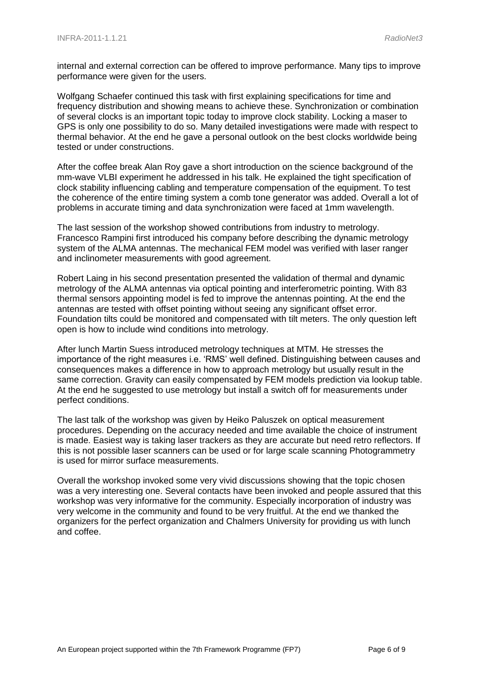internal and external correction can be offered to improve performance. Many tips to improve performance were given for the users.

Wolfgang Schaefer continued this task with first explaining specifications for time and frequency distribution and showing means to achieve these. Synchronization or combination of several clocks is an important topic today to improve clock stability. Locking a maser to GPS is only one possibility to do so. Many detailed investigations were made with respect to thermal behavior. At the end he gave a personal outlook on the best clocks worldwide being tested or under constructions.

After the coffee break Alan Roy gave a short introduction on the science background of the mm-wave VLBI experiment he addressed in his talk. He explained the tight specification of clock stability influencing cabling and temperature compensation of the equipment. To test the coherence of the entire timing system a comb tone generator was added. Overall a lot of problems in accurate timing and data synchronization were faced at 1mm wavelength.

The last session of the workshop showed contributions from industry to metrology. Francesco Rampini first introduced his company before describing the dynamic metrology system of the ALMA antennas. The mechanical FEM model was verified with laser ranger and inclinometer measurements with good agreement.

Robert Laing in his second presentation presented the validation of thermal and dynamic metrology of the ALMA antennas via optical pointing and interferometric pointing. With 83 thermal sensors appointing model is fed to improve the antennas pointing. At the end the antennas are tested with offset pointing without seeing any significant offset error. Foundation tilts could be monitored and compensated with tilt meters. The only question left open is how to include wind conditions into metrology.

After lunch Martin Suess introduced metrology techniques at MTM. He stresses the importance of the right measures i.e. 'RMS' well defined. Distinguishing between causes and consequences makes a difference in how to approach metrology but usually result in the same correction. Gravity can easily compensated by FEM models prediction via lookup table. At the end he suggested to use metrology but install a switch off for measurements under perfect conditions.

The last talk of the workshop was given by Heiko Paluszek on optical measurement procedures. Depending on the accuracy needed and time available the choice of instrument is made. Easiest way is taking laser trackers as they are accurate but need retro reflectors. If this is not possible laser scanners can be used or for large scale scanning Photogrammetry is used for mirror surface measurements.

<span id="page-5-0"></span>Overall the workshop invoked some very vivid discussions showing that the topic chosen was a very interesting one. Several contacts have been invoked and people assured that this workshop was very informative for the community. Especially incorporation of industry was very welcome in the community and found to be very fruitful. At the end we thanked the organizers for the perfect organization and Chalmers University for providing us with lunch and coffee.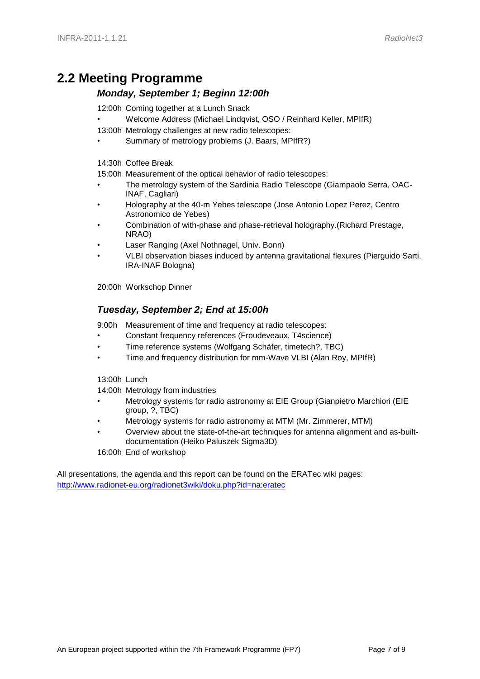### **2.2 Meeting Programme**

#### *Monday, September 1; Beginn 12:00h*

12:00h Coming together at a Lunch Snack

- Welcome Address (Michael Lindqvist, OSO / Reinhard Keller, MPIfR)
- 13:00h Metrology challenges at new radio telescopes:
- Summary of metrology problems (J. Baars, MPIfR?)

14:30h Coffee Break

15:00h Measurement of the optical behavior of radio telescopes:

- The metrology system of the Sardinia Radio Telescope (Giampaolo Serra, OAC-INAF, Cagliari)
- Holography at the 40-m Yebes telescope (Jose Antonio Lopez Perez, Centro Astronomico de Yebes)
- Combination of with-phase and phase-retrieval holography.(Richard Prestage, NRAO)
- Laser Ranging (Axel Nothnagel, Univ. Bonn)
- VLBI observation biases induced by antenna gravitational flexures (Pierguido Sarti, IRA-INAF Bologna)

20:00h Workschop Dinner

#### *Tuesday, September 2; End at 15:00h*

9:00h Measurement of time and frequency at radio telescopes:

- Constant frequency references (Froudeveaux, T4science)
- Time reference systems (Wolfgang Schäfer, timetech?, TBC)
- Time and frequency distribution for mm-Wave VLBI (Alan Roy, MPIfR)

13:00h Lunch

14:00h Metrology from industries

- Metrology systems for radio astronomy at EIE Group (Gianpietro Marchiori (EIE group, ?, TBC)
- Metrology systems for radio astronomy at MTM (Mr. Zimmerer, MTM)
- Overview about the state-of-the-art techniques for antenna alignment and as-builtdocumentation (Heiko Paluszek Sigma3D)

16:00h End of workshop

All presentations, the agenda and this report can be found on the ERATec wiki pages: <http://www.radionet-eu.org/radionet3wiki/doku.php?id=na:eratec>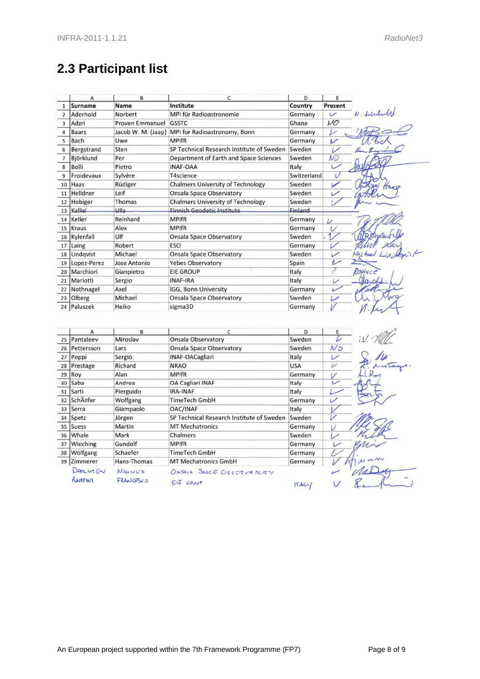# <span id="page-7-0"></span>**2.3 Participant list**

|                | A                   | B                      | C                                         | D              | E                        |
|----------------|---------------------|------------------------|-------------------------------------------|----------------|--------------------------|
| $\mathbf{1}$   | <b>Surname</b>      | <b>Name</b>            | Institute                                 | Country        | Present                  |
| $\overline{2}$ | Aderhold            | Norbert                | MPI für Radioastronomie                   | Germany        | $\overline{v}$           |
| 3              | Adzri               | <b>Proven Emmanuel</b> | <b>GSSTC</b>                              | Ghana          | $\mathcal{U}\mathcal{O}$ |
| $\overline{4}$ | <b>Baars</b>        | Jacob W. M. (Jaap)     | MPI for Radioastronomy, Bonn              | Germany        | L                        |
| 5              | Bach                | Uwe                    | <b>MPIfR</b>                              | Germany        | V                        |
| 6              | Bergstrand          | Sten                   | SP Technical Research Institute of Sweden | Sweden         | $\overline{\nu}$         |
| $\overline{7}$ | Björklund           | Per                    | Department of Earth and Space Sciences    | Sweden         | <b>NO</b>                |
| 8              | Bolli               | Pietro                 | <b>INAF-OAA</b>                           | Italy          |                          |
| 9              | Froidevaux          | Sylvère                | T4science                                 | Switzerland    | IJ                       |
| 10             | <b>Haas</b>         | Rüdiger                | <b>Chalmers University of Technology</b>  | Sweden         | び                        |
| 11             | Helldner            | Leif                   | <b>Onsala Space Observatory</b>           | Sweden         |                          |
| 12             | Hobiger             | Thomas                 | <b>Chalmers University of Technology</b>  | Sweden         |                          |
|                | 13 Kallio           | <b>Ulla</b>            | <b>Finnish Geodetic Institute</b>         | <b>Finland</b> |                          |
| 14             | Keller              | Reinhard               | <b>MPIfR</b>                              | Germany        | $\overline{\nu}$         |
| 15             | Kraus               | Alex                   | <b>MPIfR</b>                              | Germany        | $\vee$                   |
| 16             | Kylenfall           | Ulf                    | <b>Onsala Space Observatory</b>           | Sweden         | $\overline{\nu}$         |
| 17             | Laing               | Robert                 | ESO                                       | Germany        | $\overline{\nu}$         |
|                | 18 Lindqvist        | Michael                | <b>Onsala Space Observatory</b>           | Sweden         | $\checkmark$             |
| 19             | Lopez-Perez         | Jose Antonio           | <b>Yebes Observatory</b>                  | Spain          | ↙                        |
| 20             | Marchiori           | Gianpietro             | <b>EIE GROUP</b>                          | Italy          | ₹                        |
|                | 21 Mariotti         | Sergio                 | <b>INAF-IRA</b>                           | Italy          | iz                       |
|                | 22 Nothnagel        | Axel                   | IGG, Bonn University                      | Germany        | i.                       |
| 23             | Olberg              | Michael                | <b>Onsala Space Observatory</b>           | Sweden         | سا                       |
| 24             | Paluszek            | Heiko                  | sigma3D                                   | Germany        |                          |
|                | Α                   | B                      | C                                         | D              |                          |
| 25             | Pantaleev           | Miroslav               | <b>Onsala Observatory</b>                 | Sweden         | D                        |
| 26             | Pettersson          | Lars                   | Onsala Space Observatory                  | Sweden         | $N_{\rm O}$              |
| 27             | Poppi               | Sergio                 | <b>INAF-OACagliari</b>                    | Italy          | レ                        |
| 28             | Prestage            | Richard                | <b>NRAO</b>                               | <b>USA</b>     | v                        |
| 29             | Roy                 | Alan                   | <b>MPIfR</b>                              | Germany        |                          |
| 30             | Saba                | Andrea                 | <b>OA Cagliari INAF</b>                   | Italy          | L                        |
| 31             | Sarti               | Pierguido              | <b>IRA-INAF</b>                           | Italy          | $\mathcal{L}$            |
| 32             | SchĤfer             | Wolfgang               | <b>TimeTech GmbH</b>                      | Germany        | $\overline{\nu}$         |
| 33             | Serra               | Giampaolo              | OAC/INAF                                  | Italy          |                          |
| 34             | Spetz               | Jörgen                 | SP Technical Research Institute of Sweden | Sweden         |                          |
| 35             | Suess               | Martin                 | <b>MT Mechatronics</b>                    | Germany        | i                        |
| 36             | Whale               | Mark                   | Chalmers                                  | Sweden         | $\overline{\phantom{a}}$ |
| 37             | Wieching            | Gundolf                | <b>MPIfR</b>                              | Germany        | L                        |
| 38             | <b>Wolfgang</b>     | Schaefer               | <b>TimeTech GmbH</b>                      | Germany        |                          |
|                | 39 Zimmerer         | Hans-Thomas            | <b>MT Mechatronics GmbH</b>               | Germany        |                          |
|                | DAHLWRGV<br>BAMPINI | MAGNUS<br>FRANCESCO    | ONSALA SAJEE OBSTRVATERY<br>EIJ CRUUP     | ITACV          |                          |